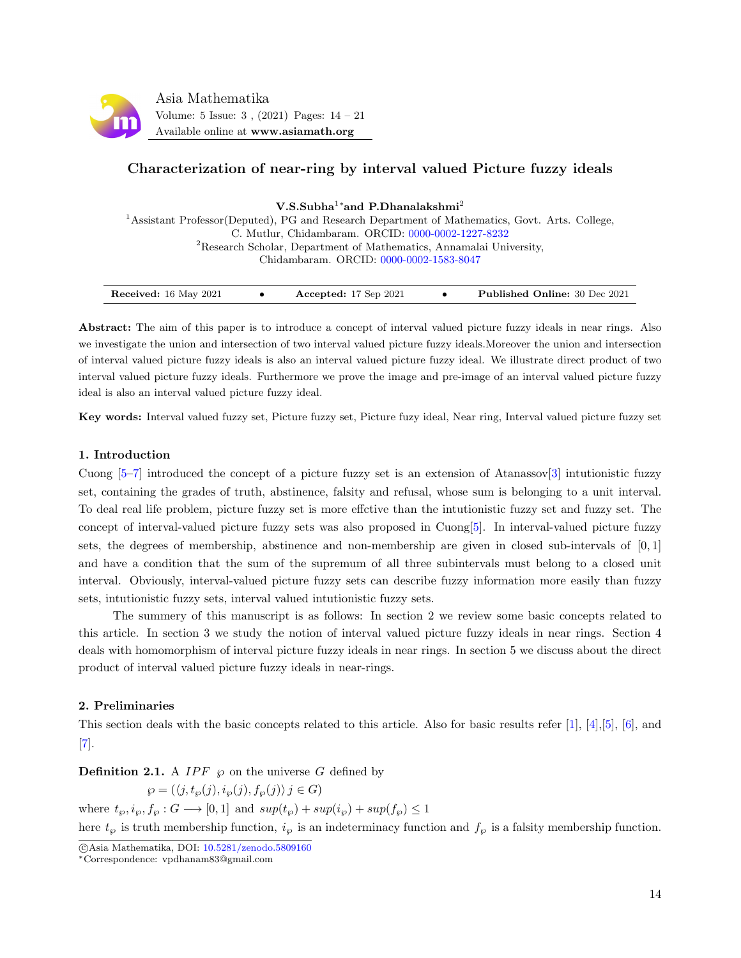

# Characterization of near-ring by interval valued Picture fuzzy ideals

V.S.Subha<sup>1</sup>\*and P.Dhanalakshmi<sup>2</sup>

<sup>1</sup>Assistant Professor(Deputed), PG and Research Department of Mathematics, Govt. Arts. College, C. Mutlur, Chidambaram. ORCID: [0000-0002-1227-8232](https://orcid.org/0000-0002-1227-8232) <sup>2</sup>Research Scholar, Department of Mathematics, Annamalai University, Chidambaram. ORCID: [0000-0002-1583-8047](https://orcid.org/0000-0002-1583-8047)

| Received: 16 May 2021<br>Accepted: $17$ Sep $2021$ |  | <b>Published Online: 30 Dec 2021</b> |
|----------------------------------------------------|--|--------------------------------------|
|----------------------------------------------------|--|--------------------------------------|

Abstract: The aim of this paper is to introduce a concept of interval valued picture fuzzy ideals in near rings. Also we investigate the union and intersection of two interval valued picture fuzzy ideals.Moreover the union and intersection of interval valued picture fuzzy ideals is also an interval valued picture fuzzy ideal. We illustrate direct product of two interval valued picture fuzzy ideals. Furthermore we prove the image and pre-image of an interval valued picture fuzzy ideal is also an interval valued picture fuzzy ideal.

Key words: Interval valued fuzzy set, Picture fuzzy set, Picture fuzy ideal, Near ring, Interval valued picture fuzzy set

#### 1. Introduction

Cuong  $[5-7]$  $[5-7]$  introduced the concept of a picture fuzzy set is an extension of Atanassov $[3]$  intutionistic fuzzy set, containing the grades of truth, abstinence, falsity and refusal, whose sum is belonging to a unit interval. To deal real life problem, picture fuzzy set is more effctive than the intutionistic fuzzy set and fuzzy set. The concept of interval-valued picture fuzzy sets was also proposed in Cuong[\[5\]](#page-7-0). In interval-valued picture fuzzy sets, the degrees of membership, abstinence and non-membership are given in closed sub-intervals of [0, 1] and have a condition that the sum of the supremum of all three subintervals must belong to a closed unit interval. Obviously, interval-valued picture fuzzy sets can describe fuzzy information more easily than fuzzy sets, intutionistic fuzzy sets, interval valued intutionistic fuzzy sets.

The summery of this manuscript is as follows: In section 2 we review some basic concepts related to this article. In section 3 we study the notion of interval valued picture fuzzy ideals in near rings. Section 4 deals with homomorphism of interval picture fuzzy ideals in near rings. In section 5 we discuss about the direct product of interval valued picture fuzzy ideals in near-rings.

### 2. Preliminaries

This section deals with the basic concepts related to this article. Also for basic results refer [\[1\]](#page-7-3), [\[4\]](#page-7-4),[\[5\]](#page-7-0), [\[6\]](#page-7-5), and [\[7\]](#page-7-1).

**Definition 2.1.** A IPF  $\wp$  on the universe G defined by

 $\wp = (\langle j, t_{\wp}(j), i_{\wp}(j), f_{\wp}(j) \rangle j \in G)$ where  $t_{\wp}, i_{\wp}, f_{\wp}: G \longrightarrow [0,1]$  and  $sup(t_{\wp}) + sup(i_{\wp}) + sup(f_{\wp}) \leq 1$ 

here  $t_{\wp}$  is truth membership function,  $i_{\wp}$  is an indeterminacy function and  $f_{\wp}$  is a falsity membership function.

c Asia Mathematika, DOI: [10.5281/zenodo.5809160](http://www.asiamath.org/article/vol5iss3/AM-2108-5207.pdf)

<sup>∗</sup>Correspondence: vpdhanam83@gmail.com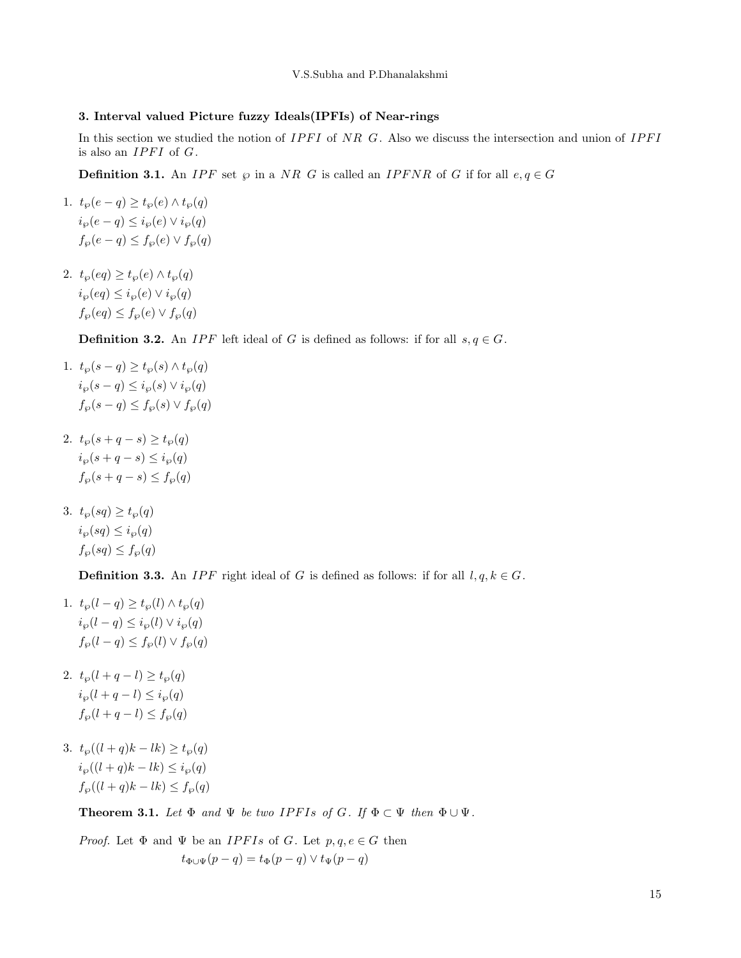### 3. Interval valued Picture fuzzy Ideals(IPFIs) of Near-rings

In this section we studied the notion of  $IPFI$  of NR G. Also we discuss the intersection and union of  $IPFI$ is also an  $IPFI$  of  $G$ .

**Definition 3.1.** An IPF set  $\wp$  in a NR G is called an IPFNR of G if for all  $e, q \in G$ 

- 1.  $t_{\varphi}(e-q) \geq t_{\varphi}(e) \wedge t_{\varphi}(q)$  $i_{\wp}(e-q) \leq i_{\wp}(e) \vee i_{\wp}(q)$  $f_{\varphi}(e-q) \leq f_{\varphi}(e) \vee f_{\varphi}(q)$
- 2.  $t_{\varphi}(eq) \geq t_{\varphi}(e) \wedge t_{\varphi}(q)$  $i_{\wp}(eq) \leq i_{\wp}(e) \vee i_{\wp}(q)$  $f_\wp(eq) \leq f_\wp(e) \vee f_\wp(q)$

**Definition 3.2.** An *IPF* left ideal of G is defined as follows: if for all  $s, q \in G$ .

- 1.  $t_{\varnothing}(s-q) \geq t_{\varnothing}(s) \wedge t_{\varnothing}(q)$  $i_{\wp}(s-q) \leq i_{\wp}(s) \vee i_{\wp}(q)$  $f_{\wp}(s-q) \leq f_{\wp}(s) \vee f_{\wp}(q)$
- 2.  $t_{\wp}(s+q-s) \geq t_{\wp}(q)$  $i_{\wp}(s+q-s) \leq i_{\wp}(q)$  $f_{\wp}(s+q-s) \leq f_{\wp}(q)$
- 3.  $t_{\varphi}(sq) \geq t_{\varphi}(q)$  $i_{\wp}(sq) \leq i_{\wp}(q)$  $f_{\wp}(sq) \leq f_{\wp}(q)$

**Definition 3.3.** An *IPF* right ideal of G is defined as follows: if for all  $l, q, k \in G$ .

- 1.  $t_{\wp}(l-q) \geq t_{\wp}(l) \wedge t_{\wp}(q)$  $i_{\wp}(l - q) \leq i_{\wp}(l) \vee i_{\wp}(q)$  $f_{\varphi}(l-q) \leq f_{\varphi}(l) \vee f_{\varphi}(q)$
- 2.  $t_{\varnothing}(l + q l) \geq t_{\varnothing}(q)$  $i_{\wp}(l + q - l) \leq i_{\wp}(q)$  $f_{\varphi}(l + q - l) \leq f_{\varphi}(q)$
- 3.  $t_{\varphi}((l+q)k-lk) \geq t_{\varphi}(q)$  $i_{\wp}((l+q)k-lk) \leq i_{\wp}(q)$  $f_{\varphi}((l+q)k-lk) \leq f_{\varphi}(q)$

**Theorem 3.1.** Let  $\Phi$  and  $\Psi$  be two IPFIs of G. If  $\Phi \subset \Psi$  then  $\Phi \cup \Psi$ .

*Proof.* Let  $\Phi$  and  $\Psi$  be an *IPFIs* of *G*. Let  $p, q, e \in G$  then  $t_{\Phi \cup \Psi}(p-q) = t_{\Phi}(p-q) \vee t_{\Psi}(p-q)$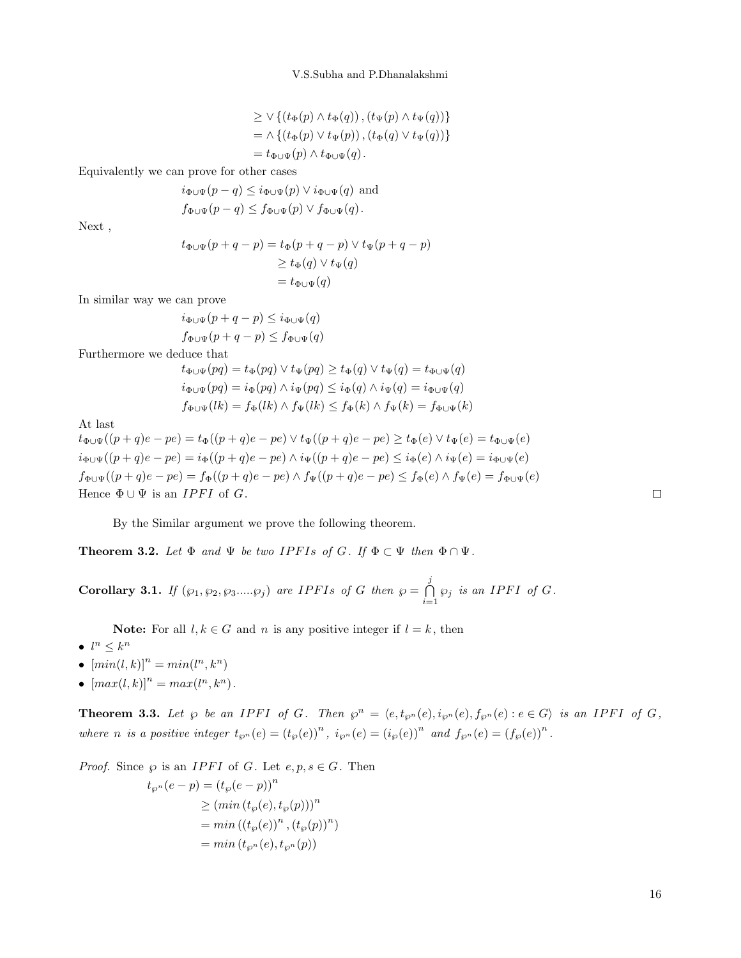$$
\geq \vee \{ (t_{\Phi}(p) \wedge t_{\Phi}(q)), (t_{\Psi}(p) \wedge t_{\Psi}(q)) \}
$$
  
=  $\wedge \{ (t_{\Phi}(p) \vee t_{\Psi}(p)), (t_{\Phi}(q) \vee t_{\Psi}(q)) \}$   
=  $t_{\Phi \cup \Psi}(p) \wedge t_{\Phi \cup \Psi}(q).$ 

Equivalently we can prove for other cases

$$
i_{\Phi\cup\Psi}(p-q) \leq i_{\Phi\cup\Psi}(p) \lor i_{\Phi\cup\Psi}(q)
$$
 and  

$$
f_{\Phi\cup\Psi}(p-q) \leq f_{\Phi\cup\Psi}(p) \lor f_{\Phi\cup\Psi}(q).
$$

Next ,

 $t_{\Phi \cup \Psi}(p + q - p) = t_{\Phi}(p + q - p) \vee t_{\Psi}(p + q - p)$  $\geq t_{\Phi}(q) \vee t_{\Psi}(q)$  $= t_{\Phi \cup \Psi}(q)$ 

In similar way we can prove

$$
i_{\Phi \cup \Psi}(p+q-p) \leq i_{\Phi \cup \Psi}(q)
$$
  

$$
f_{\Phi \cup \Psi}(p+q-p) \leq f_{\Phi \cup \Psi}(q)
$$

Furthermore we deduce that

$$
t_{\Phi \cup \Psi}(pq) = t_{\Phi}(pq) \lor t_{\Psi}(pq) \geq t_{\Phi}(q) \lor t_{\Psi}(q) = t_{\Phi \cup \Psi}(q)
$$
  

$$
i_{\Phi \cup \Psi}(pq) = i_{\Phi}(pq) \land i_{\Psi}(pq) \leq i_{\Phi}(q) \land i_{\Psi}(q) = i_{\Phi \cup \Psi}(q)
$$
  

$$
f_{\Phi \cup \Psi}(lk) = f_{\Phi}(lk) \land f_{\Psi}(lk) \leq f_{\Phi}(k) \land f_{\Psi}(k) = f_{\Phi \cup \Psi}(k)
$$

At last

 $t_{\Phi\cup\Psi}((p+q)e - pe) = t_{\Phi}((p+q)e - pe) \vee t_{\Psi}((p+q)e - pe) \geq t_{\Phi}(e) \vee t_{\Psi}(e) = t_{\Phi\cup\Psi}(e)$  $i_{\Phi\cup\Psi}((p+q)e - pe) = i_{\Phi}((p+q)e - pe) \wedge i_{\Psi}((p+q)e - pe) \leq i_{\Phi}(e) \wedge i_{\Psi}(e) = i_{\Phi\cup\Psi}(e)$  $f_{\Phi\cup\Psi}((p+q)e - pe) = f_{\Phi}((p+q)e - pe) \wedge f_{\Psi}((p+q)e - pe) \leq f_{\Phi}(e) \wedge f_{\Psi}(e) = f_{\Phi\cup\Psi}(e)$ Hence  $\Phi \cup \Psi$  is an *IPFI* of *G*.

By the Similar argument we prove the following theorem.

**Theorem 3.2.** Let  $\Phi$  and  $\Psi$  be two IPFIs of G. If  $\Phi \subset \Psi$  then  $\Phi \cap \Psi$ .

**Corollary 3.1.** If  $(\wp_1, \wp_2, \wp_3, ..., \wp_j)$  are IPFIs of G then  $\wp = \bigcap_{i=1}^j$  $\bigcap_{i=1} \varphi_j$  is an IPFI of G.

**Note:** For all  $l, k \in G$  and n is any positive integer if  $l = k$ , then

- $l^n \leq k^n$
- $\left[ min(l, k) \right]^n = min(l^n, k^n)$
- $[max(l, k)]^n = max(l^n, k^n)$ .

**Theorem 3.3.** Let  $\wp$  be an IPFI of G. Then  $\wp^n = \langle e, t_{\wp^n}(e), i_{\wp^n}(e), f_{\wp^n}(e) : e \in G \rangle$  is an IPFI of G, where *n* is a positive integer  $t_{\wp^n}(e) = (t_{\wp}(e))^n$ ,  $i_{\wp^n}(e) = (i_{\wp}(e))^n$  and  $f_{\wp^n}(e) = (f_{\wp}(e))^n$ .

*Proof.* Since  $\wp$  is an *IPFI* of G. Let  $e, p, s \in G$ . Then

$$
t_{\wp^n}(e-p) = (t_{\wp}(e-p))^n
$$
  
\n
$$
\geq (\min(t_{\wp}(e), t_{\wp}(p)))^n
$$
  
\n
$$
= \min((t_{\wp}(e))^n, (t_{\wp}(p))^n)
$$
  
\n
$$
= \min(t_{\wp^n}(e), t_{\wp^n}(p))
$$

16

 $\Box$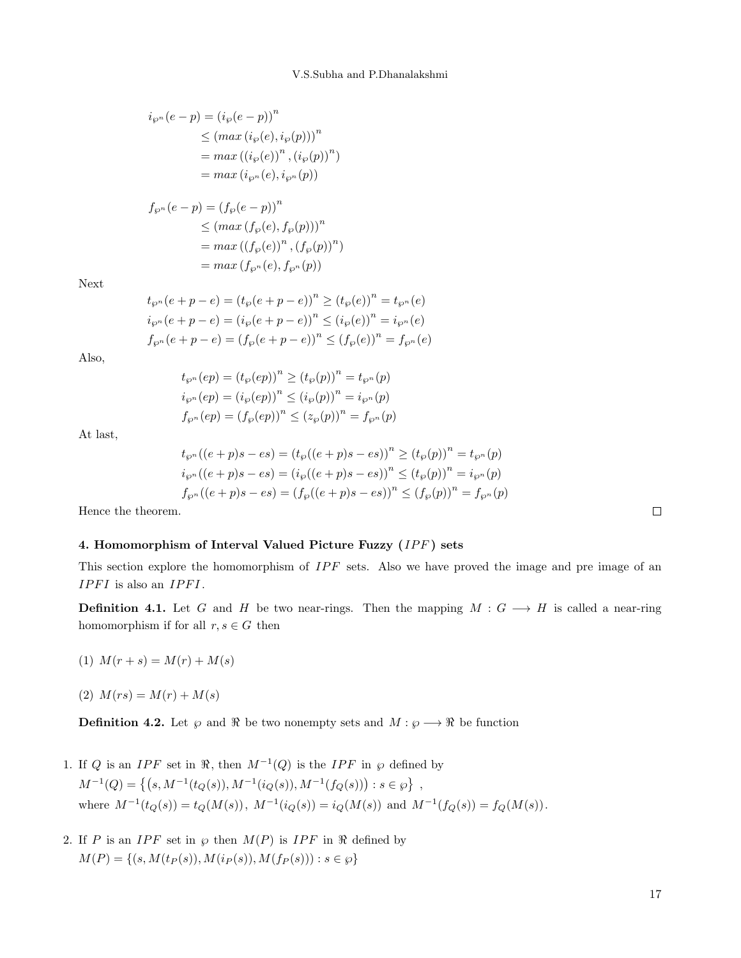$$
\begin{aligned} i_{\wp^n}(e-p) &= \left( i_{\wp}(e-p) \right)^n \\ &\leq \left( \max \left( i_{\wp}(e), i_{\wp}(p) \right) \right)^n \\ &= \max \left( \left( i_{\wp}(e) \right)^n, \left( i_{\wp}(p) \right)^n \right) \\ &= \max \left( i_{\wp^n}(e), i_{\wp^n}(p) \right) \end{aligned}
$$

$$
f_{\wp^n}(e-p) = (f_{\wp}(e-p))^n
$$
  
\n
$$
\leq (max (f_{\wp}(e), f_{\wp}(p)))^n
$$
  
\n
$$
= max ((f_{\wp}(e))^n, (f_{\wp}(p))^n)
$$
  
\n
$$
= max (f_{\wp^n}(e), f_{\wp^n}(p))
$$

Next

$$
t_{\wp^n}(e + p - e) = (t_{\wp}(e + p - e))^n \ge (t_{\wp}(e))^n = t_{\wp^n}(e)
$$
  

$$
i_{\wp^n}(e + p - e) = (i_{\wp}(e + p - e))^n \le (i_{\wp}(e))^n = i_{\wp^n}(e)
$$
  

$$
f_{\wp^n}(e + p - e) = (f_{\wp}(e + p - e))^n \le (f_{\wp}(e))^n = f_{\wp^n}(e)
$$

Also,

 $t_{\wp^n}(ep) = (t_{\wp}(ep))^n \ge (t_{\wp}(p))^n = t_{\wp^n}(p)$  $i_{\wp^n}(ep) = (i_{\wp}(ep))^n \le (i_{\wp}(p))^n = i_{\wp^n}(p)$  $f_{\wp^n}(ep) = (f_{\wp}(ep))^n \le (z_{\wp}(p))^n = f_{\wp^n}(p)$ 

At last,

$$
t_{\wp^n}((e+p)s - es) = (t_{\wp}((e+p)s - es))^n \ge (t_{\wp}(p))^n = t_{\wp^n}(p)
$$
  

$$
i_{\wp^n}((e+p)s - es) = (i_{\wp}((e+p)s - es))^n \le (t_{\wp}(p))^n = i_{\wp^n}(p)
$$
  

$$
f_{\wp^n}((e+p)s - es) = (f_{\wp}((e+p)s - es))^n \le (f_{\wp}(p))^n = f_{\wp^n}(p)
$$

Hence the theorem.

# 4. Homomorphism of Interval Valued Picture Fuzzy  $(IPF)$  sets

This section explore the homomorphism of  $IPF$  sets. Also we have proved the image and pre image of an  $IPFI$  is also an  $IPFI$ .

**Definition 4.1.** Let G and H be two near-rings. Then the mapping  $M: G \longrightarrow H$  is called a near-ring homomorphism if for all  $r, s \in G$  then

- (1)  $M(r + s) = M(r) + M(s)$
- (2)  $M(rs) = M(r) + M(s)$

**Definition 4.2.** Let  $\wp$  and  $\Re$  be two nonempty sets and  $M : \wp \longrightarrow \Re$  be function

- 1. If Q is an IPF set in  $\Re$ , then  $M^{-1}(Q)$  is the IPF in  $\wp$  defined by  $M^{-1}(Q) = \{(s, M^{-1}(t_Q(s)), M^{-1}(i_Q(s)), M^{-1}(f_Q(s))): s \in \wp\},\$ where  $M^{-1}(t_Q(s)) = t_Q(M(s)), M^{-1}(i_Q(s)) = i_Q(M(s))$  and  $M^{-1}(f_Q(s)) = f_Q(M(s)).$
- 2. If P is an IPF set in  $\varphi$  then  $M(P)$  is IPF in  $\Re$  defined by  $M(P) = \{(s, M(t_P(s)), M(t_P(s)), M(f_P(s))): s \in \wp\}$

 $\Box$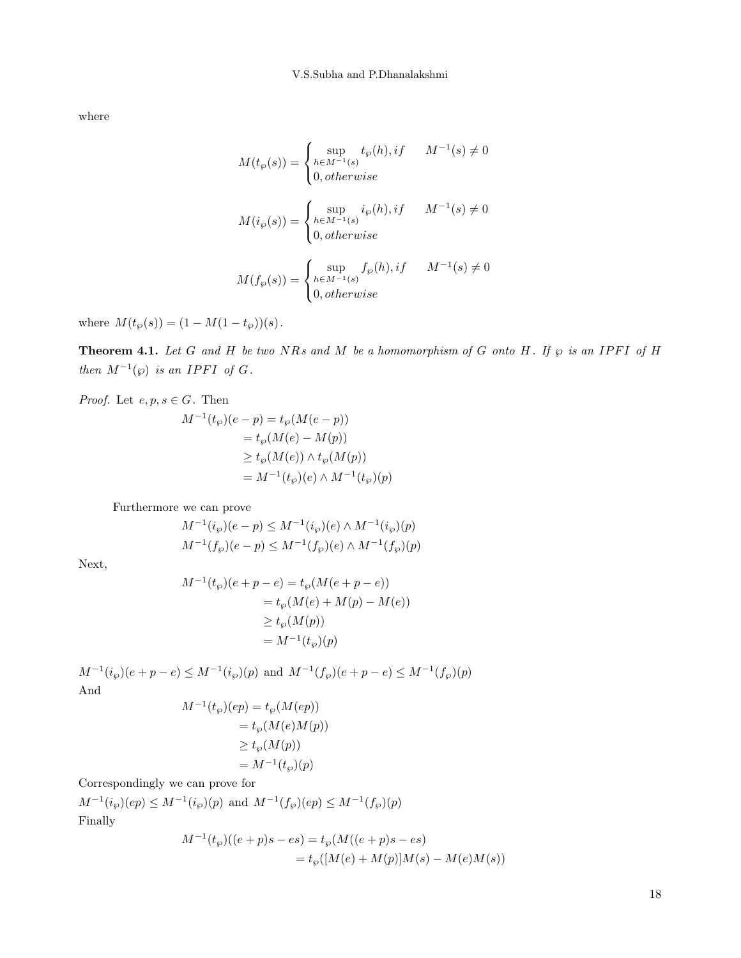where

$$
\label{eq:1} \begin{aligned} M(t_\wp(s))&=\begin{cases} \sup\limits_{h\in M^{-1}(s)}t_\wp(h),if & M^{-1}(s)\neq 0\\ 0, otherwise \end{cases}\\ M(i_\wp(s))&=\begin{cases} \sup\limits_{h\in M^{-1}(s)}i_\wp(h),if & M^{-1}(s)\neq 0\\ 0, otherwise \end{cases}\\ M(f_\wp(s))&=\begin{cases} \sup\limits_{h\in M^{-1}(s)}f_\wp(h),if & M^{-1}(s)\neq 0\\ 0, otherwise \end{cases} \end{aligned}
$$

where  $M(t_\wp(s)) = (1 - M(1 - t_\wp))(s)$ .

**Theorem 4.1.** Let G and H be two NRs and M be a homomorphism of G onto H. If  $\wp$  is an IPFI of H then  $M^{-1}(\wp)$  is an IPFI of G.

*Proof.* Let  $e, p, s \in G$ . Then

$$
M^{-1}(t_{\wp})(e-p) = t_{\wp}(M(e-p))
$$
  
=  $t_{\wp}(M(e) - M(p))$   

$$
\geq t_{\wp}(M(e)) \wedge t_{\wp}(M(p))
$$
  
=  $M^{-1}(t_{\wp})(e) \wedge M^{-1}(t_{\wp})(p)$ 

Furthermore we can prove

$$
M^{-1}(i_{\wp})(e - p) \leq M^{-1}(i_{\wp})(e) \wedge M^{-1}(i_{\wp})(p)
$$
  

$$
M^{-1}(f_{\wp})(e - p) \leq M^{-1}(f_{\wp})(e) \wedge M^{-1}(f_{\wp})(p)
$$

Next,

$$
M^{-1}(t_{\wp})(e + p - e) = t_{\wp}(M(e + p - e))
$$
  
=  $t_{\wp}(M(e) + M(p) - M(e))$   
 $\ge t_{\wp}(M(p))$   
=  $M^{-1}(t_{\wp})(p)$ 

 $M^{-1}(i_{\wp})(e+p-e) \leq M^{-1}(i_{\wp})(p)$  and  $M^{-1}(f_{\wp})(e+p-e) \leq M^{-1}(f_{\wp})(p)$ And

$$
M^{-1}(t_{\wp})(ep) = t_{\wp}(M(ep))
$$
  
=  $t_{\wp}(M(e)M(p))$   
 $\geq t_{\wp}(M(p))$   
=  $M^{-1}(t_{\wp})(p)$ 

Correspondingly we can prove for

 $M^{-1}(i_{\wp})(ep) \leq M^{-1}(i_{\wp})(p)$  and  $M^{-1}(f_{\wp})(ep) \leq M^{-1}(f_{\wp})(p)$ Finally

$$
M^{-1}(t_{\wp})((e+p)s - es) = t_{\wp}(M((e+p)s - es)
$$
  
=  $t_{\wp}([M(e) + M(p)]M(s) - M(e)M(s))$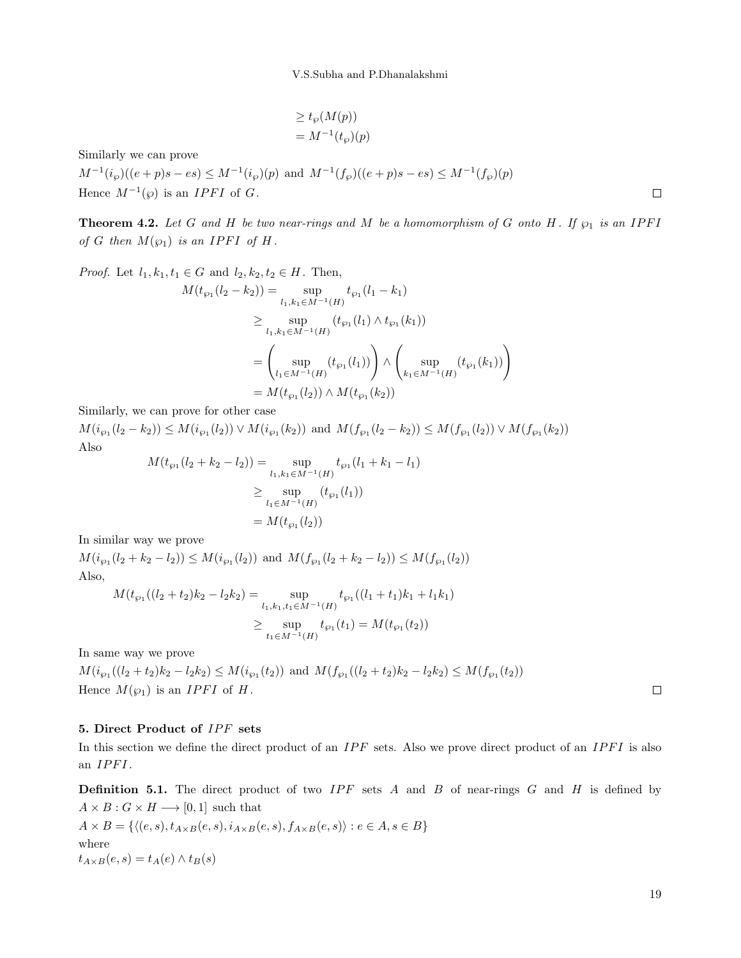$$
\geq t_{\wp}(M(p))
$$
  
=  $M^{-1}(t_{\wp})(p)$ 

Similarly we can prove

 $M^{-1}(i_{\wp})((e+p)s-es) \leq M^{-1}(i_{\wp})(p)$  and  $M^{-1}(f_{\wp})((e+p)s-es) \leq M^{-1}(f_{\wp})(p)$ Hence  $M^{-1}(\wp)$  is an *IPFI* of G.

**Theorem 4.2.** Let G and H be two near-rings and M be a homomorphism of G onto H. If  $\wp_1$  is an IPFI of G then  $M(\wp_1)$  is an IPFI of H.

*Proof.* Let  $l_1, k_1, t_1 \in G$  and  $l_2, k_2, t_2 \in H$ . Then,

$$
M(t_{\wp_1}(l_2 - k_2)) = \sup_{l_1, k_1 \in M^{-1}(H)} t_{\wp_1}(l_1 - k_1)
$$
  
\n
$$
\geq \sup_{l_1, k_1 \in M^{-1}(H)} (t_{\wp_1}(l_1) \wedge t_{\wp_1}(k_1))
$$
  
\n
$$
= \left(\sup_{l_1 \in M^{-1}(H)} (t_{\wp_1}(l_1))\right) \wedge \left(\sup_{k_1 \in M^{-1}(H)} (t_{\wp_1}(k_1))\right)
$$
  
\n
$$
= M(t_{\wp_1}(l_2)) \wedge M(t_{\wp_1}(k_2))
$$

Similarly, we can prove for other case

 $M(i_{\wp_1}(l_2-k_2)) \leq M(i_{\wp_1}(l_2)) \vee M(i_{\wp_1}(k_2))$  and  $M(f_{\wp_1}(l_2-k_2)) \leq M(f_{\wp_1}(l_2)) \vee M(f_{\wp_1}(k_2))$ Also

$$
M(t_{\wp_1}(l_2 + k_2 - l_2)) = \sup_{l_1, k_1 \in M^{-1}(H)} t_{\wp_1}(l_1 + k_1 - l_1)
$$
  
\n
$$
\geq \sup_{l_1 \in M^{-1}(H)} (t_{\wp_1}(l_1))
$$
  
\n
$$
= M(t_{\wp_1}(l_2))
$$

In similar way we prove

 $M(i_{\wp_1}(l_2 + k_2 - l_2)) \leq M(i_{\wp_1}(l_2))$  and  $M(f_{\wp_1}(l_2 + k_2 - l_2)) \leq M(f_{\wp_1}(l_2))$ Also,

$$
M(t_{\wp_1}((l_2+t_2)k_2-l_2k_2) = \sup_{l_1,k_1,t_1 \in M^{-1}(H)} t_{\wp_1}((l_1+t_1)k_1+l_1k_1)
$$
  

$$
\geq \sup_{t_1 \in M^{-1}(H)} t_{\wp_1}(t_1) = M(t_{\wp_1}(t_2))
$$

In same way we prove

 $M(i_{\wp_1}((l_2+t_2)k_2-l_2k_2) \leq M(i_{\wp_1}(t_2))$  and  $M(f_{\wp_1}((l_2+t_2)k_2-l_2k_2) \leq M(f_{\wp_1}(t_2))$ Hence  $M(\wp_1)$  is an *IPFI* of *H*.

# $\Box$

 $\Box$ 

### 5. Direct Product of IPF sets

In this section we define the direct product of an  $IPF$  sets. Also we prove direct product of an  $IPFI$  is also an  $\mathit{IPFI}\,.$ 

**Definition 5.1.** The direct product of two  $IPF$  sets A and B of near-rings G and H is defined by  $A \times B : G \times H \longrightarrow [0,1]$  such that

$$
A \times B = \{ \langle (e, s), t_{A \times B}(e, s), i_{A \times B}(e, s), f_{A \times B}(e, s) \rangle : e \in A, s \in B \}
$$
  
where  

$$
t_{A \times B}(e, s) = t_A(e) \wedge t_B(s)
$$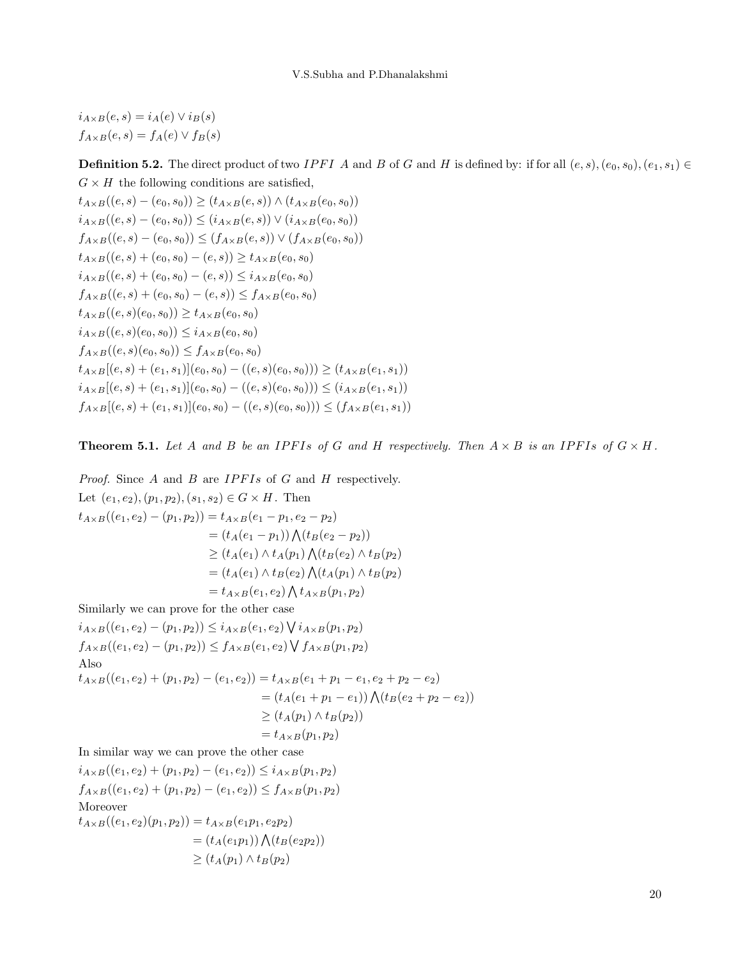$i_{A\times B}(e, s) = i_A(e) \vee i_B(s)$  $f_{A\times B}(e, s) = f_A(e) \vee f_B(s)$ 

**Definition 5.2.** The direct product of two IPFI A and B of G and H is defined by: if for all  $(e, s), (e_0, s_0), (e_1, s_1) \in$  $G \times H$  the following conditions are satisfied,

 $t_{A\times B}((e, s) - (e_0, s_0)) \ge (t_{A\times B}(e, s)) \wedge (t_{A\times B}(e_0, s_0))$  $i_{A\times B}((e, s) - (e_0, s_0)) \leq (i_{A\times B}(e, s)) \vee (i_{A\times B}(e_0, s_0))$  $f_{A\times B}((e, s) - (e_0, s_0)) \leq (f_{A\times B}(e, s)) \vee (f_{A\times B}(e_0, s_0))$  $t_{A\times B}((e, s) + (e_0, s_0) - (e, s)) \ge t_{A\times B}(e_0, s_0)$  $i_{A\times B}((e, s) + (e_0, s_0) - (e, s)) \leq i_{A\times B}(e_0, s_0)$  $f_{A\times B}((e, s) + (e_0, s_0) - (e, s)) \le f_{A\times B}(e_0, s_0)$  $t_{A\times B}((e, s)(e_0, s_0)) \ge t_{A\times B}(e_0, s_0)$  $i_{A\times B}((e, s)(e_0, s_0)) \leq i_{A\times B}(e_0, s_0)$  $f_{A\times B}((e, s)(e_0, s_0)) \leq f_{A\times B}(e_0, s_0)$  $t_{A\times B}[(e,s) + (e_1,s_1)](e_0,s_0) - ((e,s)(e_0,s_0))) \geq (t_{A\times B}(e_1,s_1))$  $i_{A\times B}[(e,s) + (e_1,s_1)](e_0,s_0) - ((e,s)(e_0,s_0))) \leq (i_{A\times B}(e_1,s_1))$  $f_{A\times B}[(e,s) + (e_1,s_1)](e_0,s_0) - ((e,s)(e_0,s_0))) \leq (f_{A\times B}(e_1,s_1))$ 

**Theorem 5.1.** Let A and B be an IPFIs of G and H respectively. Then  $A \times B$  is an IPFIs of  $G \times H$ .

*Proof.* Since  $A$  and  $B$  are  $IPFIs$  of  $G$  and  $H$  respectively. Let  $(e_1, e_2), (p_1, p_2), (s_1, s_2) \in G \times H$ . Then  $t_{A\times B}((e_1, e_2) - (p_1, p_2)) = t_{A\times B}(e_1 - p_1, e_2 - p_2)$  $= (t_A(e_1-p_1)) \bigwedge (t_B(e_2-p_2))$  $\geq (t_A(e_1) \wedge t_A(p_1) \bigwedge (t_B(e_2) \wedge t_B(p_2))$  $=(t_A(e_1) \wedge t_B(e_2) \bigwedge (t_A(p_1) \wedge t_B(p_2))$  $= t_{A\times B}(e_1, e_2) \bigwedge t_{A\times B}(p_1, p_2)$ Similarly we can prove for the other case  $i_{A\times B}((e_1,e_2)-(p_1,p_2))\leq i_{A\times B}(e_1,e_2)\bigvee i_{A\times B}(p_1,p_2)$  $f_{A\times B}((e_1,e_2)-(p_1,p_2)) \le f_{A\times B}(e_1,e_2) \vee f_{A\times B}(p_1,p_2)$ Also  $t_{A\times B}((e_1,e_2)+(p_1,p_2)-(e_1,e_2))=t_{A\times B}(e_1+p_1-e_1,e_2+p_2-e_2)$  $= (t_A(e_1 + p_1 - e_1)) \bigwedge (t_B(e_2 + p_2 - e_2))$  $\geq (t_A(p_1) \wedge t_B(p_2))$  $= t_{A\times B}(p_1, p_2)$ In similar way we can prove the other case  $i_{A\times B}((e_1, e_2) + (p_1, p_2) - (e_1, e_2)) \leq i_{A\times B}(p_1, p_2)$  $f_{A\times B}((e_1, e_2) + (p_1, p_2) - (e_1, e_2)) \le f_{A\times B}(p_1, p_2)$ Moreover  $t_{A\times B}((e_1,e_2)(p_1,p_2))=t_{A\times B}(e_1p_1,e_2p_2)$ 

 $= (t_A(e_1p_1)) \bigwedge (t_B(e_2p_2))$  $\geq (t_A(p_1) \wedge t_B(p_2))$